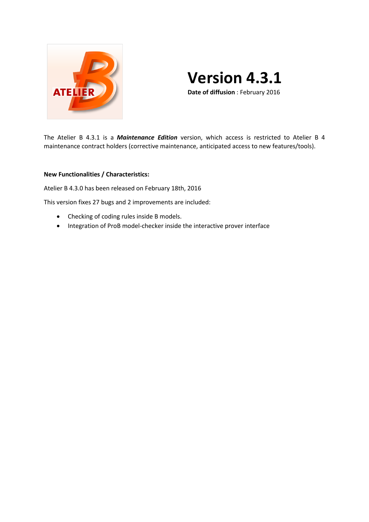

# **Version 4.3.1**

**Date of diffusion** : February 2016

The Atelier B 4.3.1 is a *Maintenance Edition* version, which access is restricted to Atelier B 4 maintenance contract holders (corrective maintenance, anticipated access to new features/tools).

# **New Functionalities / Characteristics:**

Atelier B 4.3.0 has been released on February 18th, 2016

This version fixes 27 bugs and 2 improvements are included:

- Checking of coding rules inside B models.
- Integration of ProB model-checker inside the interactive prover interface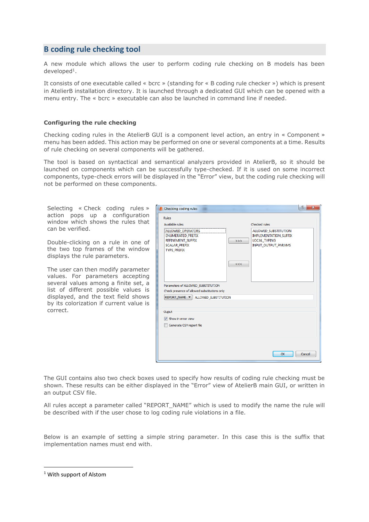# **B coding rule checking tool**

A new module which allows the user to perform coding rule checking on B models has been developed<sup>1</sup>.

It consists of one executable called « bcrc » (standing for « B coding rule checker ») which is present in AtelierB installation directory. It is launched through a dedicated GUI which can be opened with a menu entry. The « bcrc » executable can also be launched in command line if needed.

## **Configuring the rule checking**

Checking coding rules in the AtelierB GUI is a component level action, an entry in « Component » menu has been added. This action may be performed on one or several components at a time. Results of rule checking on several components will be gathered.

The tool is based on syntactical and semantical analyzers provided in AtelierB, so it should be launched on components which can be successfully type-checked. If it is used on some incorrect components, type-check errors will be displayed in the "Error" view, but the coding rule checking will not be performed on these components.

Selecting « Check coding rules » action pops up a configuration window which shows the rules that can be verified.

Double-clicking on a rule in one of the two top frames of the window displays the rule parameters.

The user can then modify parameter values. For parameters accepting several values among a finite set, a list of different possible values is displayed, and the text field shows by its colorization if current value is correct.

| Available rules                                                                                                                             | Checked rules                                                                                                  |
|---------------------------------------------------------------------------------------------------------------------------------------------|----------------------------------------------------------------------------------------------------------------|
| ALLOWED_OPERATORS<br><b>ENUMERATED PREFIX</b><br>REFINEMENT_SUFFIX<br><b>SCALAR PREFIX</b><br><b>TYPE PREFIX</b>                            | ALLOWED_SUBSTITUTION<br><b>IMPLEMENTATION SUFFIX</b><br>LOCAL_TYPING<br>>><br><b>INPUT OUTPUT PARAMS</b><br><< |
| Parameters of ALLOWED_SUBSTITUTION<br>Check presence of allowed substitutions only<br>REPORT_NAME $\blacktriangledown$ ALLOWED_SUBSTITUTION |                                                                                                                |
| Ouput                                                                                                                                       |                                                                                                                |
| Show in error view<br>Generate CSV report file                                                                                              |                                                                                                                |
|                                                                                                                                             |                                                                                                                |

The GUI contains also two check boxes used to specify how results of coding rule checking must be shown. These results can be either displayed in the "Error" view of AtelierB main GUI, or written in an output CSV file.

All rules accept a parameter called "REPORT\_NAME" which is used to modify the name the rule will be described with if the user chose to log coding rule violations in a file.

Below is an example of setting a simple string parameter. In this case this is the suffix that implementation names must end with.

<sup>1</sup> With support of Alstom

**.**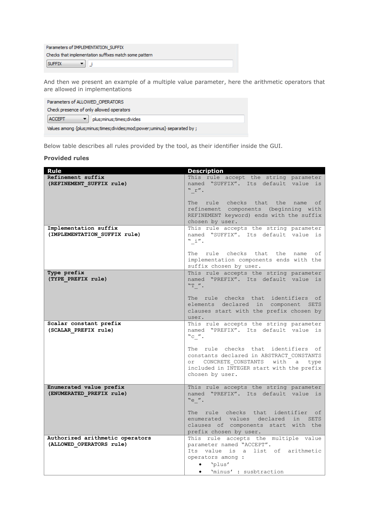| Parameters of IMPLEMENTATION SUFFIX                    |  |
|--------------------------------------------------------|--|
| Checks that implementation suffixes match some pattern |  |
| <b>SUFFIX</b>                                          |  |

And then we present an example of a multiple value parameter, here the arithmetic operators that are allowed in implementations

| Parameters of ALLOWED OPERATORS                                         |  |
|-------------------------------------------------------------------------|--|
| Check presence of only allowed operators                                |  |
| <b>ACCEPT</b><br>plus; minus; times; divides                            |  |
| Values among {plus;minus;times;divides;mod;power;uminus} separated by ; |  |

Below table describes all rules provided by the tool, as their identifier inside the GUI.

#### **Provided rules**

| Rule                                                        | <b>Description</b>                                                             |
|-------------------------------------------------------------|--------------------------------------------------------------------------------|
| Refinement suffix                                           | This rule accept the string parameter                                          |
| (REFINEMENT SUFFIX rule)                                    | named "SUFFIX". Its default value is                                           |
|                                                             | "r".                                                                           |
|                                                             | The rule checks that the name<br>оf                                            |
|                                                             | refinement components (beginning with                                          |
|                                                             | REFINEMENT keyword) ends with the suffix                                       |
|                                                             | chosen by user.                                                                |
| Implementation suffix<br>(IMPLEMENTATION SUFFIX rule)       | This rule accepts the string parameter<br>named "SUFFIX". Its default value is |
|                                                             | " i".                                                                          |
|                                                             |                                                                                |
|                                                             | The rule checks that the name<br>оf                                            |
|                                                             | implementation components ends with the<br>suffix chosen by user.              |
| Type prefix                                                 | This rule accepts the string parameter                                         |
| (TYPE PREFIX rule)                                          | named "PREFIX". Its default value is                                           |
|                                                             | $"T"$ .                                                                        |
|                                                             |                                                                                |
|                                                             | The rule checks that identifiers of<br>elements declared in component SETS     |
|                                                             | clauses start with the prefix chosen by                                        |
|                                                             | user.                                                                          |
| Scalar constant prefix                                      | This rule accepts the string parameter                                         |
| (SCALAR PREFIX rule)                                        | named "PREFIX". Its default value is                                           |
|                                                             | $"c"$ .                                                                        |
|                                                             | The rule checks that identifiers of                                            |
|                                                             | constants declared in ABSTRACT CONSTANTS                                       |
|                                                             | or CONCRETE CONSTANTS with a type                                              |
|                                                             | included in INTEGER start with the prefix<br>chosen by user.                   |
|                                                             |                                                                                |
| Enumerated value prefix                                     | This rule accepts the string parameter                                         |
| (ENUMERATED PREFIX rule)                                    | named "PREFIX". Its default value is                                           |
|                                                             | "e".                                                                           |
|                                                             | The rule checks that identifier of                                             |
|                                                             | enumerated values declared in SETS                                             |
|                                                             | clauses of components start with the                                           |
|                                                             | prefix chosen by user.                                                         |
| Authorized arithmetic operators<br>(ALLOWED OPERATORS rule) | This rule accepts the multiple value<br>parameter named "ACCEPT".              |
|                                                             | Its value is a list of arithmetic                                              |
|                                                             | operators among :                                                              |
|                                                             | $\bullet$ 'plus'                                                               |
|                                                             | 'minus': susbtraction<br>$\bullet$                                             |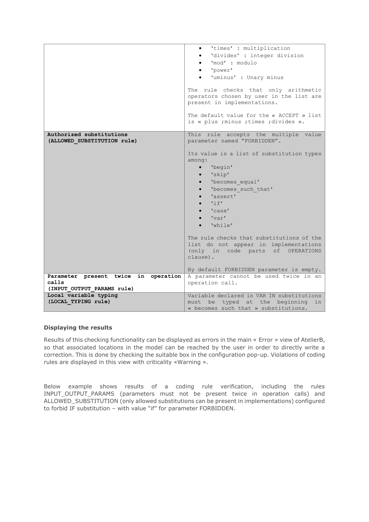|                                                         | 'times' : multiplication<br>$\bullet$                                                                                                                                                                                                                                                                                                                                                        |
|---------------------------------------------------------|----------------------------------------------------------------------------------------------------------------------------------------------------------------------------------------------------------------------------------------------------------------------------------------------------------------------------------------------------------------------------------------------|
|                                                         | 'divides': integer division                                                                                                                                                                                                                                                                                                                                                                  |
|                                                         | 'mod': modulo                                                                                                                                                                                                                                                                                                                                                                                |
|                                                         | 'power'                                                                                                                                                                                                                                                                                                                                                                                      |
|                                                         | 'uminus' : Unary minus                                                                                                                                                                                                                                                                                                                                                                       |
|                                                         |                                                                                                                                                                                                                                                                                                                                                                                              |
|                                                         | The rule checks that only arithmetic<br>operators chosen by user in the list are<br>present in implementations.                                                                                                                                                                                                                                                                              |
|                                                         | The default value for the « ACCEPT » list<br>is « plus ; minus ; times ; divides ».                                                                                                                                                                                                                                                                                                          |
| Authorized substitutions<br>(ALLOWED SUBSTITUTION rule) | This rule accepts the multiple value<br>parameter named "FORBIDDEN".                                                                                                                                                                                                                                                                                                                         |
|                                                         | Its value is a list of substitution types<br>among:<br>'begin'<br>$\bullet$ 'skip'<br>'becomes equal'<br>$\bullet$<br>'becomes such that'<br>$\bullet$<br>· 'assert'<br>$\mathbf{v}_{\text{i}}$ $\mathbf{f}'$<br>'case'<br>$\bullet$ 'var'<br>'while'<br>The rule checks that substitutions of the<br>list do not appear in implementations<br>(only in code parts of OPERATIONS<br>clause). |
| Parameter present twice in operation                    | By default FORBIDDEN parameter is empty.<br>A parameter cannot be used twice in an                                                                                                                                                                                                                                                                                                           |
| calls                                                   | operation call.                                                                                                                                                                                                                                                                                                                                                                              |
| (INPUT OUTPUT PARAMS rule)                              |                                                                                                                                                                                                                                                                                                                                                                                              |
| Local variable typing                                   | Variable declared in VAR IN substitutions                                                                                                                                                                                                                                                                                                                                                    |
| (LOCAL TYPING rule)                                     | must be typed at the beginning<br>in                                                                                                                                                                                                                                                                                                                                                         |
|                                                         | « becomes such that » substitutions.                                                                                                                                                                                                                                                                                                                                                         |

## **Displaying the results**

Results of this checking functionality can be displayed as errors in the main « Error » view of AtelierB, so that associated locations in the model can be reached by the user in order to directly write a correction. This is done by checking the suitable box in the configuration pop-up. Violations of coding rules are displayed in this view with criticality «Warning ».

Below example shows results of a coding rule verification, including the rules INPUT\_OUTPUT\_PARAMS (parameters must not be present twice in operation calls) and ALLOWED\_SUBSTITUTION (only allowed substitutions can be present in implementations) configured to forbid IF substitution – with value "if" for parameter FORBIDDEN.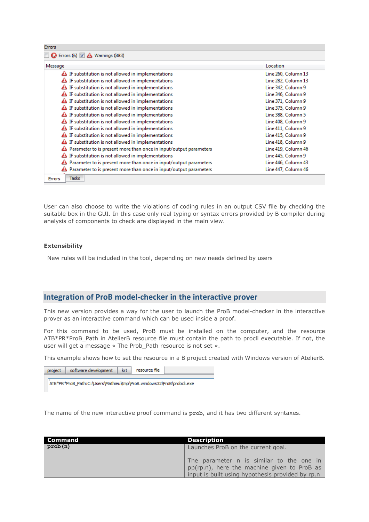| Co Errors (6) V A Warnings (883)                                        |                     |
|-------------------------------------------------------------------------|---------------------|
| Message                                                                 | Location            |
| Esubstitution is not allowed in implementations                         | Line 260, Column 13 |
| E substitution is not allowed in implementations                        | Line 282, Column 13 |
| E substitution is not allowed in implementations                        | Line 342, Column 9  |
| E substitution is not allowed in implementations                        | Line 346, Column 9  |
| E substitution is not allowed in implementations                        | Line 371, Column 9  |
| E substitution is not allowed in implementations                        | Line 375, Column 9  |
| IF substitution is not allowed in implementations                       | Line 388, Column 5  |
| E substitution is not allowed in implementations                        | Line 408, Column 9  |
| E substitution is not allowed in implementations                        | Line 411, Column 9  |
| E substitution is not allowed in implementations                        | Line 415, Column 9  |
| E substitution is not allowed in implementations                        | Line 418, Column 9  |
| Parameter to is present more than once in input/output parameters<br>45 | Line 419, Column 46 |
| IF substitution is not allowed in implementations<br>≜                  | Line 445, Column 9  |
| Parameter to is present more than once in input/output parameters       | Line 446, Column 43 |
| Parameter to is present more than once in input/output parameters       | Line 447, Column 46 |
| <b>Tasks</b><br><b>Errors</b>                                           |                     |

User can also choose to write the violations of coding rules in an output CSV file by checking the suitable box in the GUI. In this case only real typing or syntax errors provided by B compiler during analysis of components to check are displayed in the main view.

#### **Extensibility**

New rules will be included in the tool, depending on new needs defined by users

# **Integration of ProB model-checker in the interactive prover**

This new version provides a way for the user to launch the ProB model-checker in the interactive prover as an interactive command which can be used inside a proof.

For this command to be used, ProB must be installed on the computer, and the resource ATB\*PR\*ProB\_Path in AtelierB resource file must contain the path to procli executable. If not, the user will get a message « The Prob\_Path resource is not set ».

This example shows how to set the resource in a B project created with Windows version of AtelierB.

| project | software development                                                  | krt | resource file |  |
|---------|-----------------------------------------------------------------------|-----|---------------|--|
|         | ATB*PR*ProB_Path:C:\Users\Mathieu\tmp\ProB.windows32\ProB\probcli.exe |     |               |  |

The name of the new interactive proof command is **prob**, and it has two different syntaxes.

| Command | <b>Description</b>                                                                                                                          |
|---------|---------------------------------------------------------------------------------------------------------------------------------------------|
| prob(n) | Launches ProB on the current goal.                                                                                                          |
|         | The parameter n is similar to the one in<br>pp(rp.n), here the machine given to ProB as<br>input is built using hypothesis provided by rp.n |